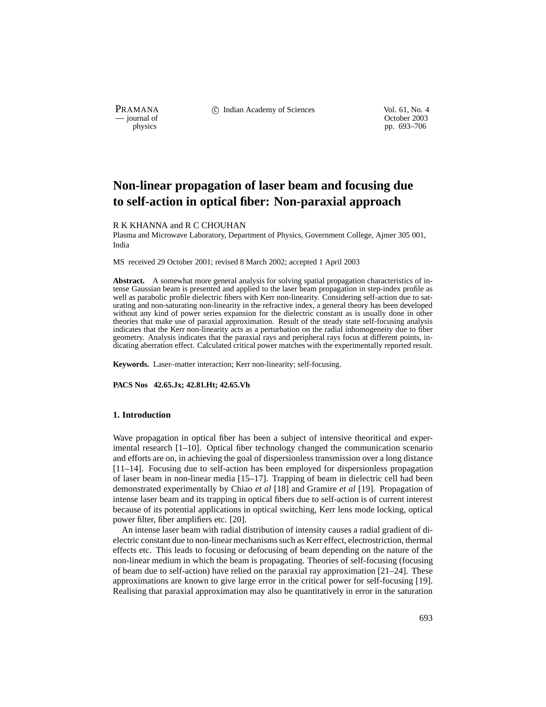PRAMANA <sup>comp</sup> computed contained in the Indian Academy of Sciences Vol. 61, No. 4<br>
computed vol. 61, No. 4<br>
computed vol. 61, No. 4

physics<br>
physics<br>
pp. 693–706<br>
pp. 693–706 pp. 693–706

# **Non-linear propagation of laser beam and focusing due to self-action in optical fiber: Non-paraxial approach**

R K KHANNA and R C CHOUHAN

Plasma and Microwave Laboratory, Department of Physics, Government College, Ajmer 305 001, India

MS received 29 October 2001; revised 8 March 2002; accepted 1 April 2003

**Abstract.** A somewhat more general analysis for solving spatial propagation characteristics of intense Gaussian beam is presented and applied to the laser beam propagation in step-index profile as well as parabolic profile dielectric fibers with Kerr non-linearity. Considering self-action due to saturating and non-saturating non-linearity in the refractive index, a general theory has been developed without any kind of power series expansion for the dielectric constant as is usually done in other theories that make use of paraxial approximation. Result of the steady state self-focusing analysis indicates that the Kerr non-linearity acts as a perturbation on the radial inhomogeneity due to fiber geometry. Analysis indicates that the paraxial rays and peripheral rays focus at different points, indicating aberration effect. Calculated critical power matches with the experimentally reported result.

**Keywords.** Laser–matter interaction; Kerr non-linearity; self-focusing.

**PACS Nos 42.65.Jx; 42.81.Ht; 42.65.Vh**

# **1. Introduction**

Wave propagation in optical fiber has been a subject of intensive theoritical and experimental research [1–10]. Optical fiber technology changed the communication scenario and efforts are on, in achieving the goal of dispersionless transmission over a long distance [11–14]. Focusing due to self-action has been employed for dispersionless propagation of laser beam in non-linear media [15–17]. Trapping of beam in dielectric cell had been demonstrated experimentally by Chiao *et al* [18] and Gramire *et al* [19]. Propagation of intense laser beam and its trapping in optical fibers due to self-action is of current interest because of its potential applications in optical switching, Kerr lens mode locking, optical power filter, fiber amplifiers etc. [20].

An intense laser beam with radial distribution of intensity causes a radial gradient of dielectric constant due to non-linear mechanisms such as Kerr effect, electrostriction, thermal effects etc. This leads to focusing or defocusing of beam depending on the nature of the non-linear medium in which the beam is propagating. Theories of self-focusing (focusing of beam due to self-action) have relied on the paraxial ray approximation [21–24]. These approximations are known to give large error in the critical power for self-focusing [19]. Realising that paraxial approximation may also be quantitatively in error in the saturation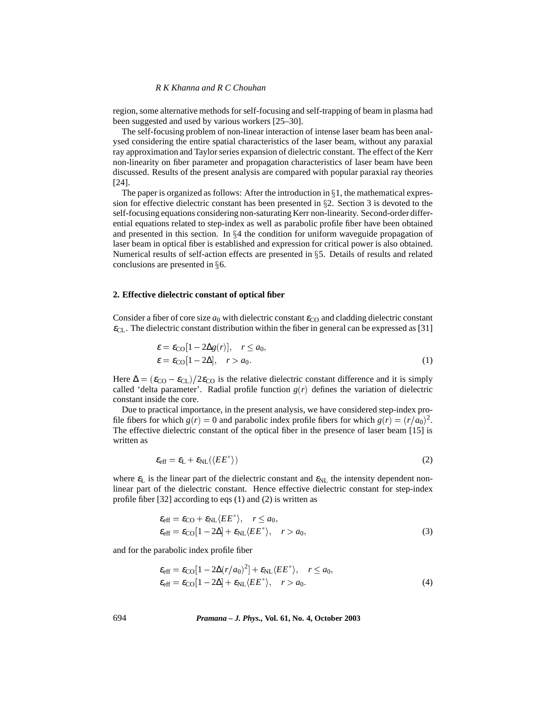region, some alternative methods for self-focusing and self-trapping of beam in plasma had been suggested and used by various workers [25–30].

The self-focusing problem of non-linear interaction of intense laser beam has been analysed considering the entire spatial characteristics of the laser beam, without any paraxial ray approximation and Taylor series expansion of dielectric constant. The effect of the Kerr non-linearity on fiber parameter and propagation characteristics of laser beam have been discussed. Results of the present analysis are compared with popular paraxial ray theories [24].

The paper is organized as follows: After the introduction in  $\S 1$ , the mathematical expression for effective dielectric constant has been presented in  $\S$ 2. Section 3 is devoted to the self-focusing equations considering non-saturating Kerr non-linearity. Second-order differential equations related to step-index as well as parabolic profile fiber have been obtained and presented in this section. In  $\S 4$  the condition for uniform waveguide propagation of laser beam in optical fiber is established and expression for critical power is also obtained. Numerical results of self-action effects are presented in  $\S$ 5. Details of results and related conclusions are presented in  $\S6$ .

# **2. Effective dielectric constant of optical fiber**

Consider a fiber of core size  $a_0$  with dielectric constant  $\varepsilon_{\rm CO}$  and cladding dielectric constant  $\varepsilon_{\text{CL}}$ . The dielectric constant distribution within the fiber in general can be expressed as [31]

$$
\varepsilon = \varepsilon_{\text{CO}}[1 - 2\Delta g(r)], \quad r \le a_0,
$$
  

$$
\varepsilon = \varepsilon_{\text{CO}}[1 - 2\Delta], \quad r > a_0.
$$
 (1)

Here  $\Delta = (\varepsilon_{\text{CO}} - \varepsilon_{\text{CL}})/2\varepsilon_{\text{CO}}$  is the relative dielectric constant difference and it is simply called 'delta parameter'. Radial profile function  $g(r)$  defines the variation of dielectric constant inside the core.

Due to practical importance, in the present analysis, we have considered step-index profile fibers for which  $g(r) = 0$  and parabolic index profile fibers for which  $g(r) = (r/a_0)^2$ . The effective dielectric constant of the optical fiber in the presence of laser beam [15] is written as

$$
\varepsilon_{\rm eff} = \varepsilon_{\rm L} + \varepsilon_{\rm NL} (\langle EE^* \rangle) \tag{2}
$$

where  $\varepsilon_L$  is the linear part of the dielectric constant and  $\varepsilon_{NL}$  the intensity dependent nonlinear part of the dielectric constant. Hence effective dielectric constant for step-index profile fiber [32] according to eqs (1) and (2) is written as

$$
\mathcal{E}_{\text{eff}} = \mathcal{E}_{\text{CO}} + \mathcal{E}_{\text{NL}} \langle EE^* \rangle, \quad r \le a_0,
$$
  

$$
\mathcal{E}_{\text{eff}} = \mathcal{E}_{\text{CO}} [1 - 2\Delta] + \mathcal{E}_{\text{NL}} \langle EE^* \rangle, \quad r > a_0,
$$
 (3)

and for the parabolic index profile fiber

$$
\mathcal{E}_{\text{eff}} = \mathcal{E}_{\text{CO}}[1 - 2\Delta(r/a_0)^2] + \mathcal{E}_{\text{NL}}\langle EE^*\rangle, \quad r \le a_0,
$$
  

$$
\mathcal{E}_{\text{eff}} = \mathcal{E}_{\text{CO}}[1 - 2\Delta] + \mathcal{E}_{\text{NL}}\langle EE^*\rangle, \quad r > a_0.
$$
 (4)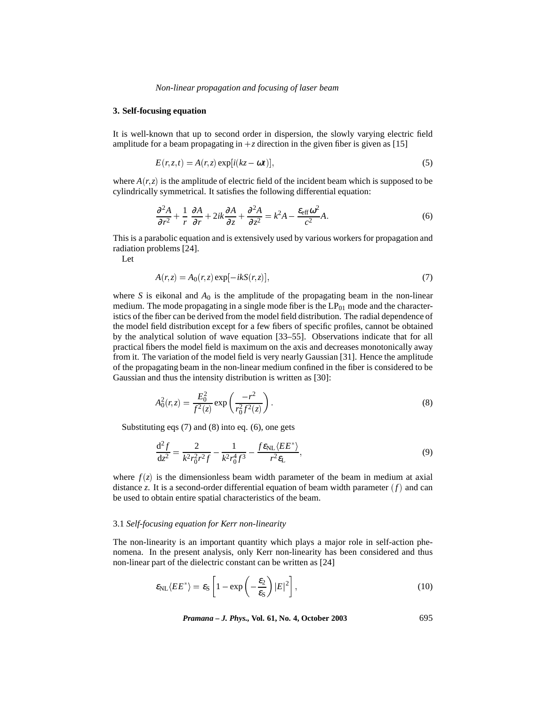*Non-linear propagation and focusing of laser beam*

# **3. Self-focusing equation**

It is well-known that up to second order in dispersion, the slowly varying electric field amplitude for a beam propagating in  $+z$  direction in the given fiber is given as [15]

$$
E(r, z, t) = A(r, z) \exp[i(kz - \omega t)], \qquad (5)
$$

where  $A(r, z)$  is the amplitude of electric field of the incident beam which is supposed to be cylindrically symmetrical. It satisfies the following differential equation:

$$
\frac{\partial^2 A}{\partial r^2} + \frac{1}{r} \frac{\partial A}{\partial r} + 2ik \frac{\partial A}{\partial z} + \frac{\partial^2 A}{\partial z^2} = k^2 A - \frac{\varepsilon_{\text{eff}} \omega^2}{c^2} A. \tag{6}
$$

This is a parabolic equation and is extensively used by various workers for propagation and radiation problems [24].

Let

$$
A(r,z) = A_0(r,z) \exp[-ikS(r,z)],\tag{7}
$$

where *S* is eikonal and  $A_0$  is the amplitude of the propagating beam in the non-linear medium. The mode propagating in a single mode fiber is the  $LP_{01}$  mode and the characteristics of the fiber can be derived from the model field distribution. The radial dependence of the model field distribution except for a few fibers of specific profiles, cannot be obtained by the analytical solution of wave equation [33–55]. Observations indicate that for all practical fibers the model field is maximum on the axis and decreases monotonically away from it. The variation of the model field is very nearly Gaussian [31]. Hence the amplitude of the propagating beam in the non-linear medium confined in the fiber is considered to be Gaussian and thus the intensity distribution is written as [30]:

$$
A_0^2(r,z) = \frac{E_0^2}{f^2(z)} \exp\left(\frac{-r^2}{r_0^2 f^2(z)}\right).
$$
 (8)

Substituting eqs (7) and (8) into eq. (6), one gets

$$
\frac{\mathrm{d}^2 f}{\mathrm{d}z^2} = \frac{2}{k^2 r_0^2 r^2 f} - \frac{1}{k^2 r_0^4 f^3} - \frac{f \varepsilon_{\text{NL}} \langle EE^* \rangle}{r^2 \varepsilon_{\text{L}}},\tag{9}
$$

where  $f(z)$  is the dimensionless beam width parameter of the beam in medium at axial distance *z*. It is a second-order differential equation of beam width parameter  $(f)$  and can be used to obtain entire spatial characteristics of the beam.

## 3.1 *Self-focusing equation for Kerr non-linearity*

The non-linearity is an important quantity which plays a major role in self-action phenomena. In the present analysis, only Kerr non-linearity has been considered and thus non-linear part of the dielectric constant can be written as [24]

$$
\varepsilon_{\rm NL} \langle EE^* \rangle = \varepsilon_{\rm S} \left[ 1 - \exp \left( -\frac{\varepsilon_2}{\varepsilon_{\rm S}} \right) |E|^2 \right], \tag{10}
$$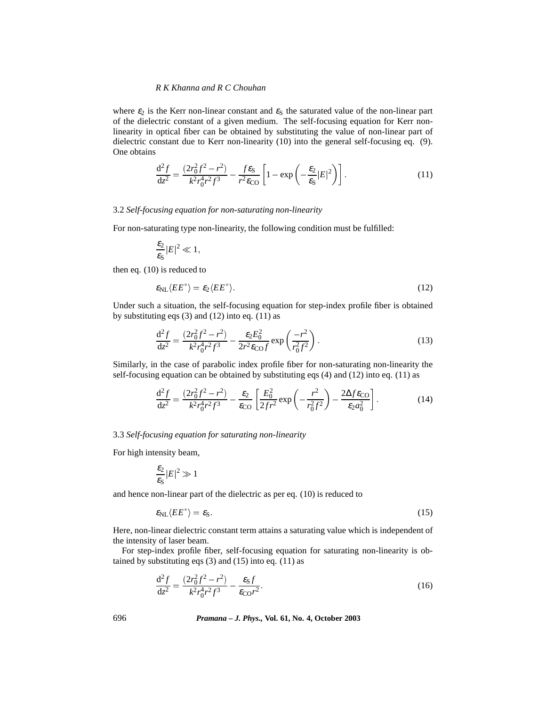where  $\varepsilon_2$  is the Kerr non-linear constant and  $\varepsilon_S$  the saturated value of the non-linear part of the dielectric constant of a given medium. The self-focusing equation for Kerr nonlinearity in optical fiber can be obtained by substituting the value of non-linear part of dielectric constant due to Kerr non-linearity (10) into the general self-focusing eq. (9). One obtains

$$
\frac{\mathrm{d}^2 f}{\mathrm{d}z^2} = \frac{(2r_0^2 f^2 - r^2)}{k^2 r_0^4 r^2 f^3} - \frac{f \varepsilon_S}{r^2 \varepsilon_{\rm CO}} \left[ 1 - \exp\left( -\frac{\varepsilon_2}{\varepsilon_S} |E|^2 \right) \right]. \tag{11}
$$

# 3.2 *Self-focusing equation for non-saturating non-linearity*

For non-saturating type non-linearity, the following condition must be fulfilled:

$$
\frac{\varepsilon_2}{\varepsilon_{\rm S}}|E|^2\ll 1,
$$

then eq. (10) is reduced to

$$
\varepsilon_{\rm NL}\langle EE^*\rangle = \varepsilon_2\langle EE^*\rangle. \tag{12}
$$

Under such a situation, the self-focusing equation for step-index profile fiber is obtained by substituting eqs  $(3)$  and  $(12)$  into eq.  $(11)$  as

$$
\frac{d^2 f}{dz^2} = \frac{(2r_0^2 f^2 - r^2)}{k^2 r_0^4 r^2 f^3} - \frac{\varepsilon_2 E_0^2}{2r^2 \varepsilon_0 f} \exp\left(\frac{-r^2}{r_0^2 f^2}\right).
$$
(13)

Similarly, in the case of parabolic index profile fiber for non-saturating non-linearity the self-focusing equation can be obtained by substituting eqs (4) and (12) into eq. (11) as

$$
\frac{d^2 f}{dz^2} = \frac{(2r_0^2 f^2 - r^2)}{k^2 r_0^4 r^2 f^3} - \frac{\varepsilon_2}{\varepsilon_{\text{CO}}} \left[ \frac{E_0^2}{2f r^2} \exp\left(-\frac{r^2}{r_0^2 f^2}\right) - \frac{2\Delta f \varepsilon_{\text{CO}}}{\varepsilon_2 a_0^2} \right].
$$
 (14)

## 3.3 *Self-focusing equation for saturating non-linearity*

For high intensity beam,

$$
\frac{\varepsilon_2}{\varepsilon_{\rm S}}|E|^2\gg 1
$$

and hence non-linear part of the dielectric as per eq. (10) is reduced to

$$
\varepsilon_{\rm NL}\langle EE^*\rangle = \varepsilon_{\rm S}.\tag{15}
$$

Here, non-linear dielectric constant term attains a saturating value which is independent of the intensity of laser beam.

For step-index profile fiber, self-focusing equation for saturating non-linearity is obtained by substituting eqs  $(3)$  and  $(15)$  into eq.  $(11)$  as

$$
\frac{\mathrm{d}^2 f}{\mathrm{d}z^2} = \frac{(2r_0^2 f^2 - r^2)}{k^2 r_0^4 r^2 f^3} - \frac{\varepsilon_S f}{\varepsilon_{\rm CO} r^2}.\tag{16}
$$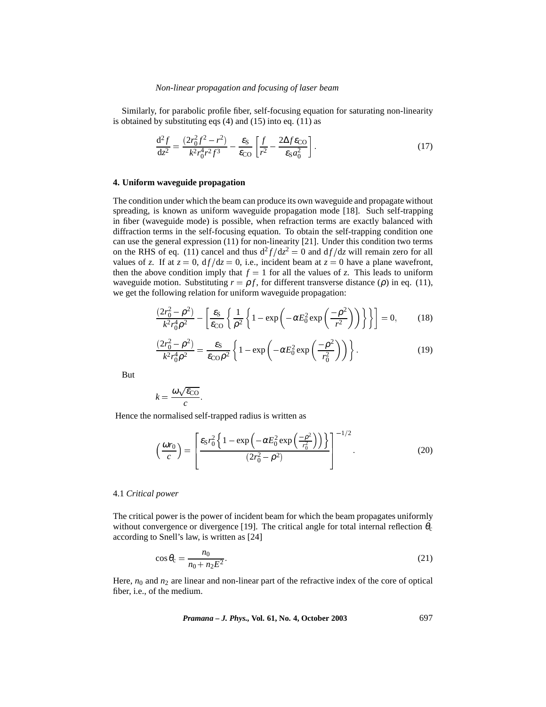Similarly, for parabolic profile fiber, self-focusing equation for saturating non-linearity is obtained by substituting eqs (4) and (15) into eq. (11) as

$$
\frac{\mathrm{d}^2 f}{\mathrm{d}z^2} = \frac{(2r_0^2 f^2 - r^2)}{k^2 r_0^4 r^2 f^3} - \frac{\varepsilon_S}{\varepsilon_{\rm CO}} \left[ \frac{f}{r^2} - \frac{2\Delta f \varepsilon_{\rm CO}}{\varepsilon_S a_0^2} \right].
$$
\n(17)

# **4. Uniform waveguide propagation**

The condition under which the beam can produce its own waveguide and propagate without spreading, is known as uniform waveguide propagation mode [18]. Such self-trapping in fiber (waveguide mode) is possible, when refraction terms are exactly balanced with diffraction terms in the self-focusing equation. To obtain the self-trapping condition one can use the general expression (11) for non-linearity [21]. Under this condition two terms on the RHS of eq. (11) cancel and thus  $d^2 f/dz^2 = 0$  and  $d f/dz$  will remain zero for all values of *z*. If at  $z = 0$ ,  $df/dz = 0$ , i.e., incident beam at  $z = 0$  have a plane wavefront, then the above condition imply that  $f = 1$  for all the values of *z*. This leads to uniform waveguide motion. Substituting  $r = \rho f$ , for different transverse distance ( $\rho$ ) in eq. (11), we get the following relation for uniform waveguide propagation:

$$
\frac{(2r_0^2 - \rho^2)}{k^2 r_0^4 \rho^2} - \left[ \frac{\varepsilon_S}{\varepsilon_{\rm CO}} \left\{ \frac{1}{\rho^2} \left\{ 1 - \exp\left( -\alpha E_0^2 \exp\left( \frac{-\rho^2}{r^2} \right) \right) \right\} \right\} \right] = 0, \qquad (18)
$$

$$
\frac{(2r_0^2 - \rho^2)}{k^2 r_0^4 \rho^2} = \frac{\varepsilon_S}{\varepsilon_{\rm CO} \rho^2} \left\{ 1 - \exp\left(-\alpha E_0^2 \exp\left(\frac{-\rho^2}{r_0^2}\right)\right) \right\}.
$$
 (19)

But

$$
k = \frac{\omega \sqrt{\varepsilon_{\rm CO}}}{c}.
$$

Hence the normalised self-trapped radius is written as

$$
\left(\frac{\omega r_0}{c}\right) = \left[\frac{\varepsilon_S r_0^2 \left\{1 - \exp\left(-\alpha E_0^2 \exp\left(\frac{-\rho^2}{r_0^2}\right)\right)\right\}}{(2r_0^2 - \rho^2)}\right]^{-1/2}.\tag{20}
$$

#### 4.1 *Critical power*

The critical power is the power of incident beam for which the beam propagates uniformly without convergence or divergence [19]. The critical angle for total internal reflection  $\theta_c$ according to Snell's law, is written as [24]

$$
\cos \theta_{\rm c} = \frac{n_0}{n_0 + n_2 E^2}.\tag{21}
$$

Here,  $n_0$  and  $n_2$  are linear and non-linear part of the refractive index of the core of optical fiber, i.e., of the medium.

*Pramana – J. Phys.,* **Vol. 61, No. 4, October 2003** 697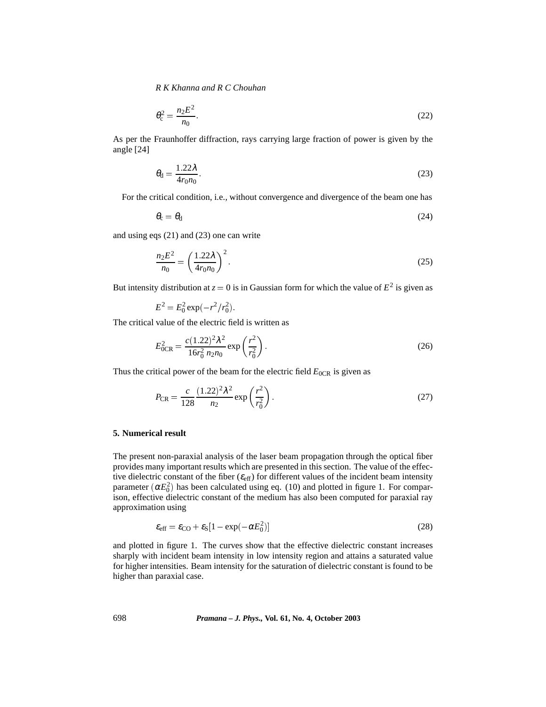$$
\theta_{\rm c}^2 = \frac{n_2 E^2}{n_0}.\tag{22}
$$

As per the Fraunhoffer diffraction, rays carrying large fraction of power is given by the angle [24]

$$
\theta_{\rm d} = \frac{1.22\lambda}{4r_0 n_0}.\tag{23}
$$

For the critical condition, i.e., without convergence and divergence of the beam one has

$$
\theta_{\rm c} = \theta_{\rm d} \tag{24}
$$

and using eqs (21) and (23) one can write

$$
\frac{n_2 E^2}{n_0} = \left(\frac{1.22\lambda}{4r_0 n_0}\right)^2.
$$
 (25)

But intensity distribution at  $z = 0$  is in Gaussian form for which the value of  $E^2$  is given as

$$
E^2 = E_0^2 \exp(-r^2/r_0^2).
$$

The critical value of the electric field is written as

$$
E_{0CR}^2 = \frac{c(1.22)^2 \lambda^2}{16r_0^2 n_2 n_0} \exp\left(\frac{r^2}{r_0^2}\right).
$$
 (26)

Thus the critical power of the beam for the electric field  $E_{0CR}$  is given as

$$
P_{\rm CR} = \frac{c}{128} \frac{(1.22)^2 \lambda^2}{n_2} \exp\left(\frac{r^2}{r_0^2}\right).
$$
 (27)

#### **5. Numerical result**

The present non-paraxial analysis of the laser beam propagation through the optical fiber provides many important results which are presented in this section. The value of the effective dielectric constant of the fiber  $(\varepsilon_{\text{eff}})$  for different values of the incident beam intensity parameter  $(\alpha E_0^2)$  has been calculated using eq. (10) and plotted in figure 1. For comparison, effective dielectric constant of the medium has also been computed for paraxial ray approximation using

$$
\varepsilon_{\rm eff} = \varepsilon_{\rm CO} + \varepsilon_{\rm S} [1 - \exp(-\alpha E_0^2)] \tag{28}
$$

and plotted in figure 1. The curves show that the effective dielectric constant increases sharply with incident beam intensity in low intensity region and attains a saturated value for higher intensities. Beam intensity for the saturation of dielectric constant is found to be higher than paraxial case.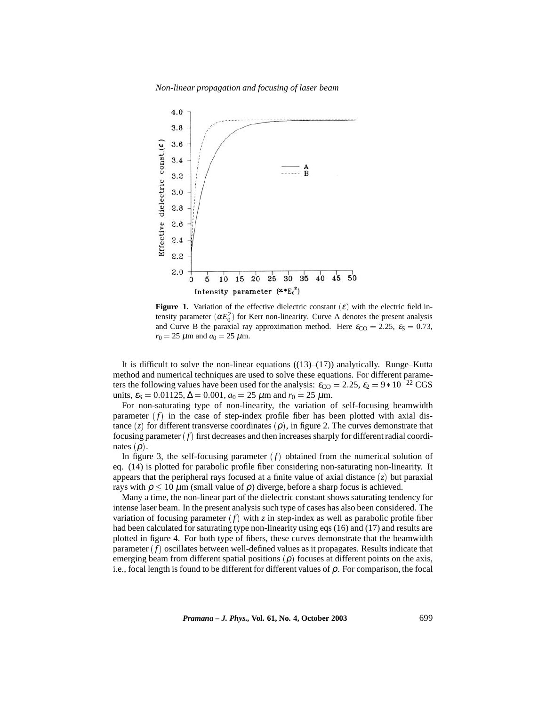*Non-linear propagation and focusing of laser beam*



**Figure 1.** Variation of the effective dielectric constant  $(\varepsilon)$  with the electric field intensity parameter  $(\alpha E_0^2)$  for Kerr non-linearity. Curve A denotes the present analysis and Curve B the paraxial ray approximation method. Here  $\varepsilon_{\text{CO}} = 2.25$ ,  $\varepsilon_{\text{S}} = 0.73$ ,  $r_0 = 25 \mu m$  and  $a_0 = 25 \mu m$ .

It is difficult to solve the non-linear equations  $((13)–(17))$  analytically. Runge–Kutta method and numerical techniques are used to solve these equations. For different parameters the following values have been used for the analysis:  $\varepsilon_{\text{CO}} = 2.25$ ,  $\varepsilon_2 = 9 * 10^{-22}$  CGS units,  $\varepsilon_s = 0.01125$ ,  $\Delta = 0.001$ ,  $a_0 = 25 \mu$ m and  $r_0 = 25 \mu$ m.

For non-saturating type of non-linearity, the variation of self-focusing beamwidth parameter  $(f)$  in the case of step-index profile fiber has been plotted with axial distance  $(z)$  for different transverse coordinates  $(\rho)$ , in figure 2. The curves demonstrate that focusing parameter  $(f)$  first decreases and then increases sharply for different radial coordinates  $(\rho)$ .

In figure 3, the self-focusing parameter  $(f)$  obtained from the numerical solution of eq. (14) is plotted for parabolic profile fiber considering non-saturating non-linearity. It appears that the peripheral rays focused at a finite value of axial distance  $(z)$  but paraxial rays with  $\rho < 10 \mu m$  (small value of  $\rho$ ) diverge, before a sharp focus is achieved.

Many a time, the non-linear part of the dielectric constant shows saturating tendency for intense laser beam. In the present analysis such type of cases has also been considered. The variation of focusing parameter  $(f)$  with  $\zeta$  in step-index as well as parabolic profile fiber had been calculated for saturating type non-linearity using eqs (16) and (17) and results are plotted in figure 4. For both type of fibers, these curves demonstrate that the beamwidth parameter  $(f)$  oscillates between well-defined values as it propagates. Results indicate that emerging beam from different spatial positions  $(\rho)$  focuses at different points on the axis, i.e., focal length is found to be different for different values of  $\rho$ . For comparison, the focal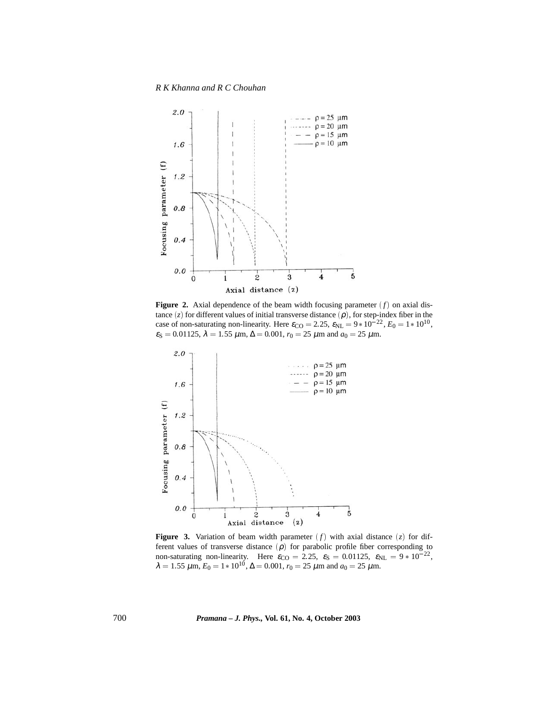*R K Khanna and R C Chouhan*



**Figure 2.** Axial dependence of the beam width focusing parameter  $(f)$  on axial distance  $(z)$  for different values of initial transverse distance  $(\rho)$ , for step-index fiber in the case of non-saturating non-linearity. Here  $\varepsilon_{\text{CO}} = 2.25$ ,  $\varepsilon_{\text{NL}} = 9 * 10^{-22}$ ,  $E_0 = 1 * 10^{10}$ ,  $\varepsilon_{\rm S} = 0.01125$ ,  $\lambda = 1.55$   $\mu$ m,  $\Delta = 0.001$ ,  $r_0 = 25$   $\mu$ m and  $a_0 = 25$   $\mu$ m.



**Figure 3.** Variation of beam width parameter  $(f)$  with axial distance  $(z)$  for different values of transverse distance  $(\rho)$  for parabolic profile fiber corresponding to non-saturating non-linearity. Here  $\varepsilon_{\text{CO}} = 2.25$ ,  $\varepsilon_{\text{S}} = 0.01125$ ,  $\varepsilon_{\text{NL}} = 9 * 10^{-22}$ ,  $\lambda = 1.55 \ \mu \text{m}, E_0 = 1 * 10^{10}, \Delta = 0.001, r_0 = 25 \ \mu \text{m}$  and  $a_0 = 25 \ \mu \text{m}$ .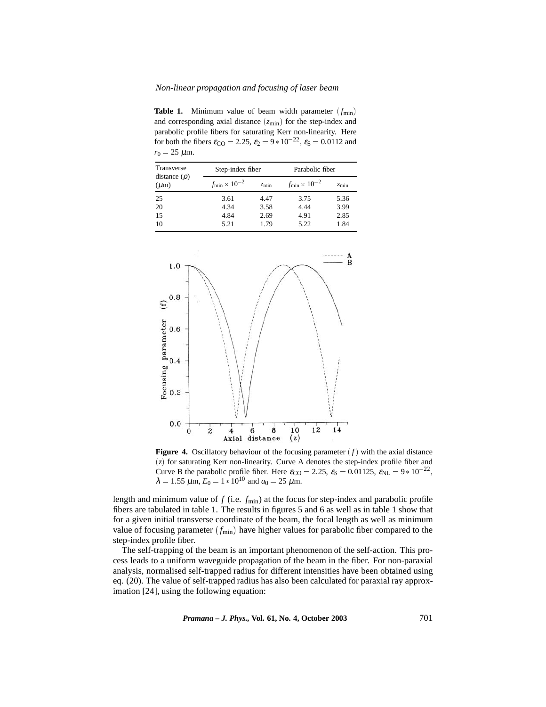# *Non-linear propagation and focusing of laser beam*

**Table 1.** Minimum value of beam width parameter  $(f_{\text{min}})$ and corresponding axial distance  $(z_{\text{min}})$  for the step-index and parabolic profile fibers for saturating Kerr non-linearity. Here for both the fibers  $\varepsilon_{\text{CO}} = 2.25$ ,  $\varepsilon_2 = 9 * 10^{-22}$ ,  $\varepsilon_{\text{S}} = 0.0112$  and  $r_0 = 25 \mu m$ .

| Transverse<br>distance $(\rho)$<br>$(\mu m)$ | Step-index fiber             |               | Parabolic fiber              |               |
|----------------------------------------------|------------------------------|---------------|------------------------------|---------------|
|                                              | $f_{\rm min} \times 10^{-2}$ | $z_{\rm min}$ | $f_{\rm min} \times 10^{-2}$ | $z_{\rm min}$ |
| 25                                           | 3.61                         | 4.47          | 3.75                         | 5.36          |
| 20                                           | 4.34                         | 3.58          | 4.44                         | 3.99          |
| 15                                           | 4.84                         | 2.69          | 4.91                         | 2.85          |
| 10                                           | 5.21                         | 1.79          | 5.22                         | 1.84          |



**Figure 4.** Oscillatory behaviour of the focusing parameter  $(f)$  with the axial distance  $(z)$  for saturating Kerr non-linearity. Curve A denotes the step-index profile fiber and Curve B the parabolic profile fiber. Here  $\varepsilon_{\text{CO}} = 2.25$ ,  $\varepsilon_{\text{S}} = 0.01125$ ,  $\varepsilon_{\text{NL}} = 9 * 10^{-22}$ ,  $\lambda = 1.55 \ \mu \text{m}$ ,  $E_0 = 1 * 10^{10}$  and  $a_0 = 25 \ \mu \text{m}$ .

length and minimum value of *f* (i.e. *f*min) at the focus for step-index and parabolic profile fibers are tabulated in table 1. The results in figures 5 and 6 as well as in table 1 show that for a given initial transverse coordinate of the beam, the focal length as well as minimum value of focusing parameter  $(f_{min})$  have higher values for parabolic fiber compared to the step-index profile fiber.

The self-trapping of the beam is an important phenomenon of the self-action. This process leads to a uniform waveguide propagation of the beam in the fiber. For non-paraxial analysis, normalised self-trapped radius for different intensities have been obtained using eq. (20). The value of self-trapped radius has also been calculated for paraxial ray approximation [24], using the following equation: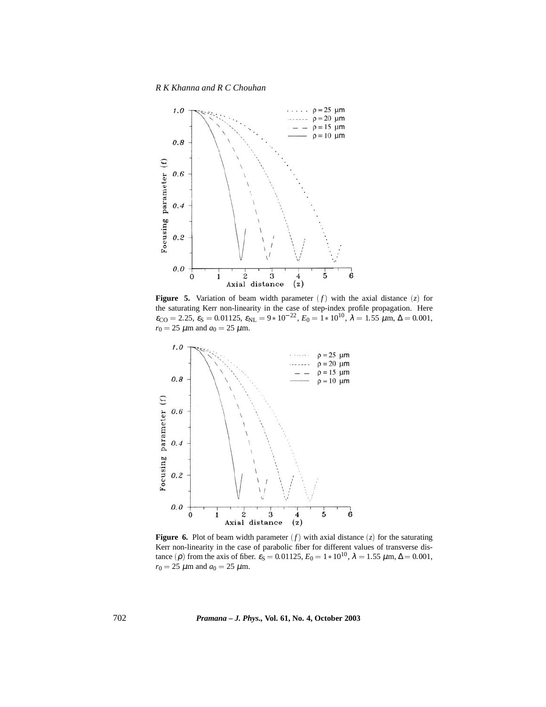*R K Khanna and R C Chouhan*



**Figure 5.** Variation of beam width parameter  $(f)$  with the axial distance  $(z)$  for the saturating Kerr non-linearity in the case of step-index profile propagation. Here  $\varepsilon_{\text{CO}} = 2.25, \, \varepsilon_{\text{S}} = 0.01125, \, \varepsilon_{\text{NL}} = 9 * 10^{-22}, \, E_0 = 1 * 10^{10}, \, \lambda = 1.55 \, \mu \text{m}, \, \Delta = 0.001,$  $r_0 = 25 \mu m$  and  $a_0 = 25 \mu m$ .



**Figure 6.** Plot of beam width parameter  $(f)$  with axial distance  $(z)$  for the saturating Kerr non-linearity in the case of parabolic fiber for different values of transverse distance ( $\rho$ ) from the axis of fiber.  $\varepsilon_S = 0.01125$ ,  $E_0 = 1 * 10^{10}$ ,  $\lambda = 1.55 \mu \text{m}$ ,  $\Delta = 0.001$ ,  $r_0 = 25 \mu m$  and  $a_0 = 25 \mu m$ .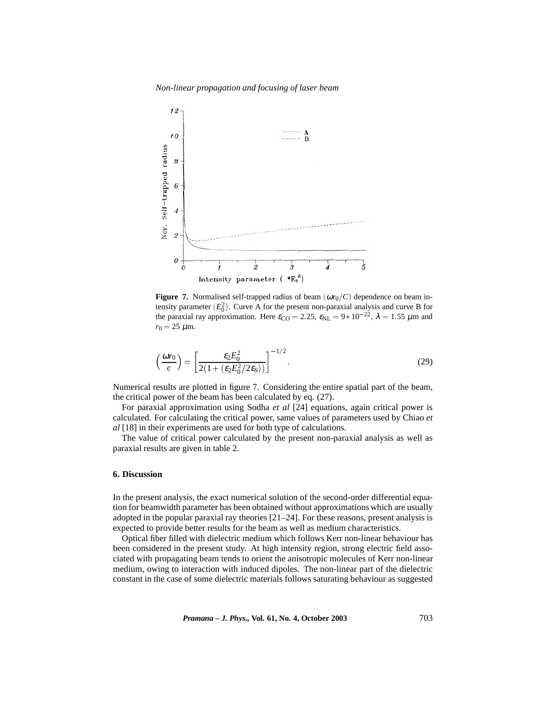*Non-linear propagation and focusing of laser beam*



**Figure 7.** Normalised self-trapped radius of beam  $(\omega r_0/C)$  dependence on beam intensity parameter  $(E_0^2)$ . Curve A for the present non-paraxial analysis and curve B for the paraxial ray approximation. Here  $\varepsilon_{\text{CO}} = 2.25$ ,  $\varepsilon_{\text{NL}} = 9 * 10^{-22}$ ,  $\lambda = 1.55 \ \mu \text{m}$  and  $r_0 = 25 \mu m$ .

$$
\left(\frac{\omega r_0}{c}\right) = \left[\frac{\varepsilon_2 E_0^2}{2(1 + (\varepsilon_2 E_0^2 / 2\varepsilon_S))}\right]^{-1/2}.\tag{29}
$$

Numerical results are plotted in figure 7. Considering the entire spatial part of the beam, the critical power of the beam has been calculated by eq. (27).

For paraxial approximation using Sodha *et al* [24] equations, again critical power is calculated. For calculating the critical power, same values of parameters used by Chiao *et al* [18] in their experiments are used for both type of calculations.

The value of critical power calculated by the present non-paraxial analysis as well as paraxial results are given in table 2.

# **6. Discussion**

In the present analysis, the exact numerical solution of the second-order differential equation for beamwidth parameter has been obtained without approximations which are usually adopted in the popular paraxial ray theories  $[21–24]$ . For these reasons, present analysis is expected to provide better results for the beam as well as medium characteristics.

Optical fiber filled with dielectric medium which follows Kerr non-linear behaviour has been considered in the present study. At high intensity region, strong electric field associated with propagating beam tends to orient the anisotropic molecules of Kerr non-linear medium, owing to interaction with induced dipoles. The non-linear part of the dielectric constant in the case of some dielectric materials follows saturating behaviour as suggested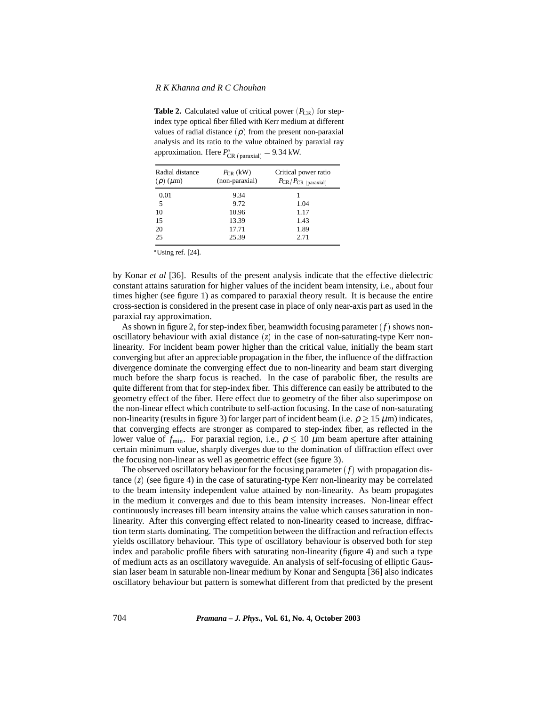**Table 2.** Calculated value of critical power  $(P_{CR})$  for stepindex type optical fiber filled with Kerr medium at different values of radial distance  $(\rho)$  from the present non-paraxial analysis and its ratio to the value obtained by paraxial ray approximation. Here  $P_{CR\ (paraxial)}^* = 9.34 \text{ kW.}$ 

| Radial distance<br>$(\rho)$ ( $\mu$ m) | $P_{CR}$ (kW)<br>(non-paraxial) | Critical power ratio<br>$P_{CR}/P_{CR}$ (paraxial) |
|----------------------------------------|---------------------------------|----------------------------------------------------|
| 0.01                                   | 9.34                            |                                                    |
| 5                                      | 9.72                            | 1.04                                               |
| 10                                     | 10.96                           | 1.17                                               |
| 15                                     | 13.39                           | 1.43                                               |
| 20                                     | 17.71                           | 1.89                                               |
| 25                                     | 25.39                           | 2.71                                               |

- Using ref. [24].

by Konar *et al* [36]. Results of the present analysis indicate that the effective dielectric constant attains saturation for higher values of the incident beam intensity, i.e., about four times higher (see figure 1) as compared to paraxial theory result. It is because the entire cross-section is considered in the present case in place of only near-axis part as used in the paraxial ray approximation.

As shown in figure 2, for step-index fiber, beamwidth focusing parameter  $(f)$  shows nonoscillatory behaviour with axial distance  $(z)$  in the case of non-saturating-type Kerr nonlinearity. For incident beam power higher than the critical value, initially the beam start converging but after an appreciable propagation in the fiber, the influence of the diffraction divergence dominate the converging effect due to non-linearity and beam start diverging much before the sharp focus is reached. In the case of parabolic fiber, the results are quite different from that for step-index fiber. This difference can easily be attributed to the geometry effect of the fiber. Here effect due to geometry of the fiber also superimpose on the non-linear effect which contribute to self-action focusing. In the case of non-saturating non-linearity (results in figure 3) for larger part of incident beam (i.e.  $\rho > 15 \mu m$ ) indicates, that converging effects are stronger as compared to step-index fiber, as reflected in the lower value of  $f_{\text{min}}$ . For paraxial region, i.e.,  $ρ \leq 10 μm$  beam aperture after attaining certain minimum value, sharply diverges due to the domination of diffraction effect over the focusing non-linear as well as geometric effect (see figure 3).

The observed oscillatory behaviour for the focusing parameter  $(f)$  with propagation distance  $(z)$  (see figure 4) in the case of saturating-type Kerr non-linearity may be correlated to the beam intensity independent value attained by non-linearity. As beam propagates in the medium it converges and due to this beam intensity increases. Non-linear effect continuously increases till beam intensity attains the value which causes saturation in nonlinearity. After this converging effect related to non-linearity ceased to increase, diffraction term starts dominating. The competition between the diffraction and refraction effects yields oscillatory behaviour. This type of oscillatory behaviour is observed both for step index and parabolic profile fibers with saturating non-linearity (figure 4) and such a type of medium acts as an oscillatory waveguide. An analysis of self-focusing of elliptic Gaussian laser beam in saturable non-linear medium by Konar and Sengupta [36] also indicates oscillatory behaviour but pattern is somewhat different from that predicted by the present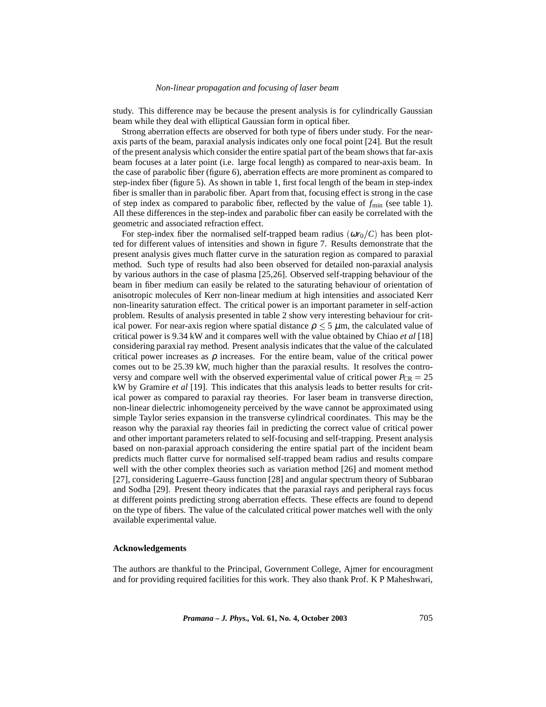#### *Non-linear propagation and focusing of laser beam*

study. This difference may be because the present analysis is for cylindrically Gaussian beam while they deal with elliptical Gaussian form in optical fiber.

Strong aberration effects are observed for both type of fibers under study. For the nearaxis parts of the beam, paraxial analysis indicates only one focal point [24]. But the result of the present analysis which consider the entire spatial part of the beam shows that far-axis beam focuses at a later point (i.e. large focal length) as compared to near-axis beam. In the case of parabolic fiber (figure 6), aberration effects are more prominent as compared to step-index fiber (figure 5). As shown in table 1, first focal length of the beam in step-index fiber is smaller than in parabolic fiber. Apart from that, focusing effect is strong in the case of step index as compared to parabolic fiber, reflected by the value of  $f_{\text{min}}$  (see table 1). All these differences in the step-index and parabolic fiber can easily be correlated with the geometric and associated refraction effect.

For step-index fiber the normalised self-trapped beam radius  $(\omega r_0/C)$  has been plotted for different values of intensities and shown in figure 7. Results demonstrate that the present analysis gives much flatter curve in the saturation region as compared to paraxial method. Such type of results had also been observed for detailed non-paraxial analysis by various authors in the case of plasma [25,26]. Observed self-trapping behaviour of the beam in fiber medium can easily be related to the saturating behaviour of orientation of anisotropic molecules of Kerr non-linear medium at high intensities and associated Kerr non-linearity saturation effect. The critical power is an important parameter in self-action problem. Results of analysis presented in table 2 show very interesting behaviour for critical power. For near-axis region where spatial distance  $\rho \le 5 \mu m$ , the calculated value of critical power is 9.34 kW and it compares well with the value obtained by Chiao *et al* [18] considering paraxial ray method. Present analysis indicates that the value of the calculated critical power increases as  $\rho$  increases. For the entire beam, value of the critical power comes out to be 25.39 kW, much higher than the paraxial results. It resolves the controversy and compare well with the observed experimental value of critical power  $P_{CR} = 25$ kW by Gramire *et al* [19]. This indicates that this analysis leads to better results for critical power as compared to paraxial ray theories. For laser beam in transverse direction, non-linear dielectric inhomogeneity perceived by the wave cannot be approximated using simple Taylor series expansion in the transverse cylindrical coordinates. This may be the reason why the paraxial ray theories fail in predicting the correct value of critical power and other important parameters related to self-focusing and self-trapping. Present analysis based on non-paraxial approach considering the entire spatial part of the incident beam predicts much flatter curve for normalised self-trapped beam radius and results compare well with the other complex theories such as variation method [26] and moment method [27], considering Laguerre–Gauss function [28] and angular spectrum theory of Subbarao and Sodha [29]. Present theory indicates that the paraxial rays and peripheral rays focus at different points predicting strong aberration effects. These effects are found to depend on the type of fibers. The value of the calculated critical power matches well with the only available experimental value.

#### **Acknowledgements**

The authors are thankful to the Principal, Government College, Ajmer for encouragment and for providing required facilities for this work. They also thank Prof. K P Maheshwari,